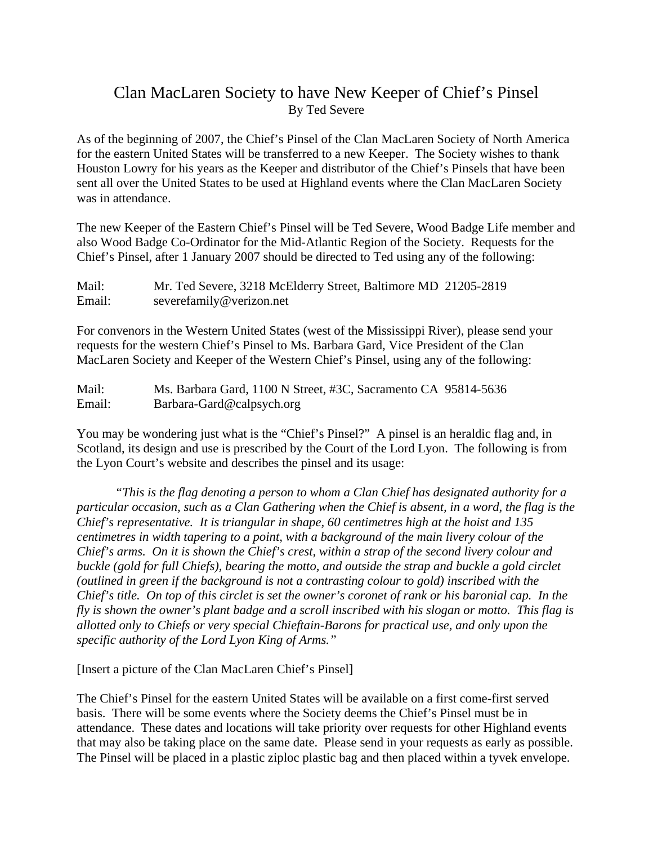## Clan MacLaren Society to have New Keeper of Chief's Pinsel By Ted Severe

As of the beginning of 2007, the Chief's Pinsel of the Clan MacLaren Society of North America for the eastern United States will be transferred to a new Keeper. The Society wishes to thank Houston Lowry for his years as the Keeper and distributor of the Chief's Pinsels that have been sent all over the United States to be used at Highland events where the Clan MacLaren Society was in attendance.

The new Keeper of the Eastern Chief's Pinsel will be Ted Severe, Wood Badge Life member and also Wood Badge Co-Ordinator for the Mid-Atlantic Region of the Society. Requests for the Chief's Pinsel, after 1 January 2007 should be directed to Ted using any of the following:

Mail: Mr. Ted Severe, 3218 McElderry Street, Baltimore MD 21205-2819 Email: severefamily@verizon.net

For convenors in the Western United States (west of the Mississippi River), please send your requests for the western Chief's Pinsel to Ms. Barbara Gard, Vice President of the Clan MacLaren Society and Keeper of the Western Chief's Pinsel, using any of the following:

Mail: Ms. Barbara Gard, 1100 N Street, #3C, Sacramento CA 95814-5636 Email: Barbara-Gard@calpsych.org

You may be wondering just what is the "Chief's Pinsel?" A pinsel is an heraldic flag and, in Scotland, its design and use is prescribed by the Court of the Lord Lyon. The following is from the Lyon Court's website and describes the pinsel and its usage:

*"This is the flag denoting a person to whom a Clan Chief has designated authority for a particular occasion, such as a Clan Gathering when the Chief is absent, in a word, the flag is the Chief's representative. It is triangular in shape, 60 centimetres high at the hoist and 135 centimetres in width tapering to a point, with a background of the main livery colour of the Chief's arms. On it is shown the Chief's crest, within a strap of the second livery colour and buckle (gold for full Chiefs), bearing the motto, and outside the strap and buckle a gold circlet (outlined in green if the background is not a contrasting colour to gold) inscribed with the Chief's title. On top of this circlet is set the owner's coronet of rank or his baronial cap. In the fly is shown the owner's plant badge and a scroll inscribed with his slogan or motto. This flag is allotted only to Chiefs or very special Chieftain-Barons for practical use, and only upon the specific authority of the Lord Lyon King of Arms."*

[Insert a picture of the Clan MacLaren Chief's Pinsel]

The Chief's Pinsel for the eastern United States will be available on a first come-first served basis. There will be some events where the Society deems the Chief's Pinsel must be in attendance. These dates and locations will take priority over requests for other Highland events that may also be taking place on the same date. Please send in your requests as early as possible. The Pinsel will be placed in a plastic ziploc plastic bag and then placed within a tyvek envelope.